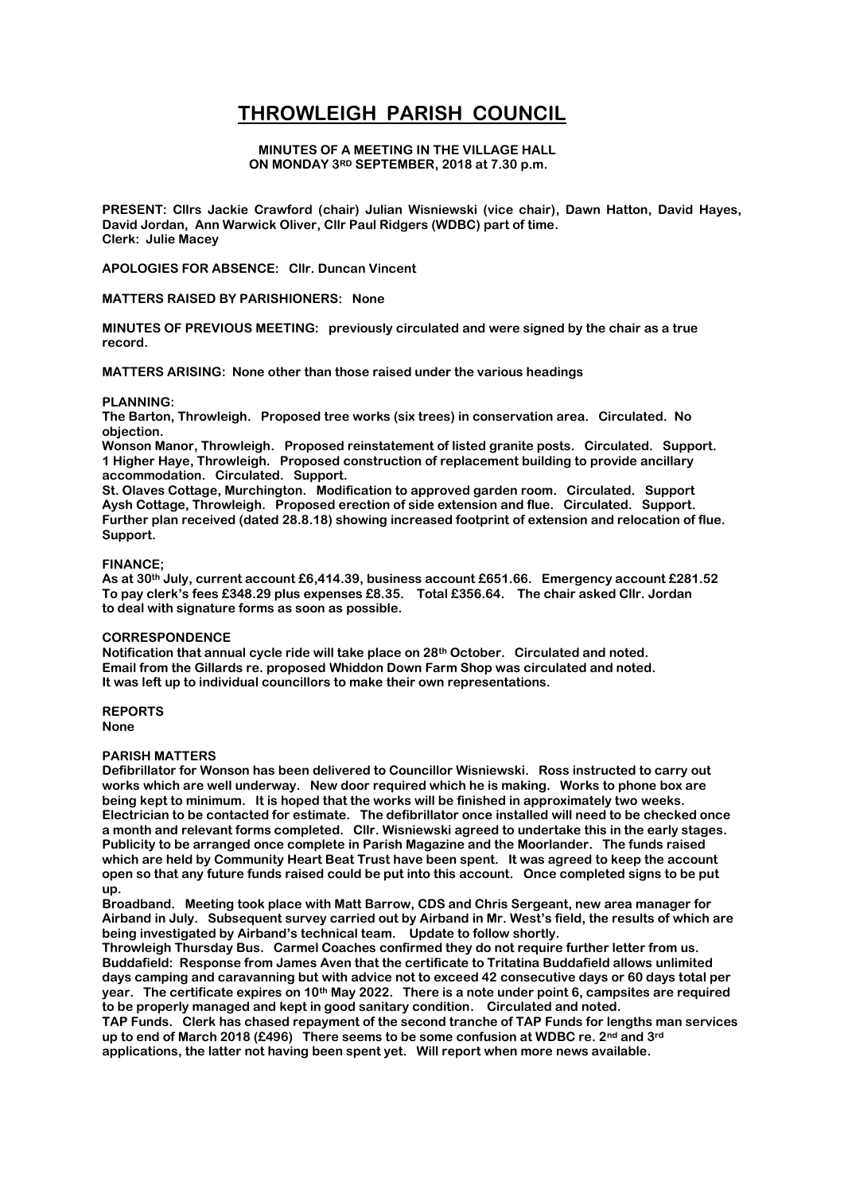# **THROWLEIGH PARISH COUNCIL**

# **MINUTES OF A MEETING IN THE VILLAGE HALL ON MONDAY 3RD SEPTEMBER, 2018 at 7.30 p.m.**

**PRESENT: Cllrs Jackie Crawford (chair) Julian Wisniewski (vice chair), Dawn Hatton, David Hayes, David Jordan, Ann Warwick Oliver, Cllr Paul Ridgers (WDBC) part of time. Clerk: Julie Macey**

**APOLOGIES FOR ABSENCE: Cllr. Duncan Vincent**

**MATTERS RAISED BY PARISHIONERS: None**

**MINUTES OF PREVIOUS MEETING: previously circulated and were signed by the chair as a true record.** 

**MATTERS ARISING: None other than those raised under the various headings**

## **PLANNING:**

**The Barton, Throwleigh. Proposed tree works (six trees) in conservation area. Circulated. No objection.**

**Wonson Manor, Throwleigh. Proposed reinstatement of listed granite posts. Circulated. Support. 1 Higher Haye, Throwleigh. Proposed construction of replacement building to provide ancillary accommodation. Circulated. Support.**

**St. Olaves Cottage, Murchington. Modification to approved garden room. Circulated. Support Aysh Cottage, Throwleigh. Proposed erection of side extension and flue. Circulated. Support. Further plan received (dated 28.8.18) showing increased footprint of extension and relocation of flue. Support.**

## **FINANCE;**

**As at 30th July, current account £6,414.39, business account £651.66. Emergency account £281.52 To pay clerk's fees £348.29 plus expenses £8.35. Total £356.64. The chair asked Cllr. Jordan to deal with signature forms as soon as possible.**

#### **CORRESPONDENCE**

**Notification that annual cycle ride will take place on 28th October. Circulated and noted. Email from the Gillards re. proposed Whiddon Down Farm Shop was circulated and noted. It was left up to individual councillors to make their own representations.**

**REPORTS None**

## **PARISH MATTERS**

**Defibrillator for Wonson has been delivered to Councillor Wisniewski. Ross instructed to carry out works which are well underway. New door required which he is making. Works to phone box are being kept to minimum. It is hoped that the works will be finished in approximately two weeks. Electrician to be contacted for estimate. The defibrillator once installed will need to be checked once a month and relevant forms completed. Cllr. Wisniewski agreed to undertake this in the early stages. Publicity to be arranged once complete in Parish Magazine and the Moorlander. The funds raised which are held by Community Heart Beat Trust have been spent. It was agreed to keep the account open so that any future funds raised could be put into this account. Once completed signs to be put up.**

**Broadband. Meeting took place with Matt Barrow, CDS and Chris Sergeant, new area manager for Airband in July. Subsequent survey carried out by Airband in Mr. West's field, the results of which are being investigated by Airband's technical team. Update to follow shortly.**

**Throwleigh Thursday Bus. Carmel Coaches confirmed they do not require further letter from us. Buddafield: Response from James Aven that the certificate to Tritatina Buddafield allows unlimited days camping and caravanning but with advice not to exceed 42 consecutive days or 60 days total per year. The certificate expires on 10th May 2022. There is a note under point 6, campsites are required to be properly managed and kept in good sanitary condition. Circulated and noted.**

**TAP Funds. Clerk has chased repayment of the second tranche of TAP Funds for lengths man services up to end of March 2018 (£496) There seems to be some confusion at WDBC re. 2nd and 3rd applications, the latter not having been spent yet. Will report when more news available.**